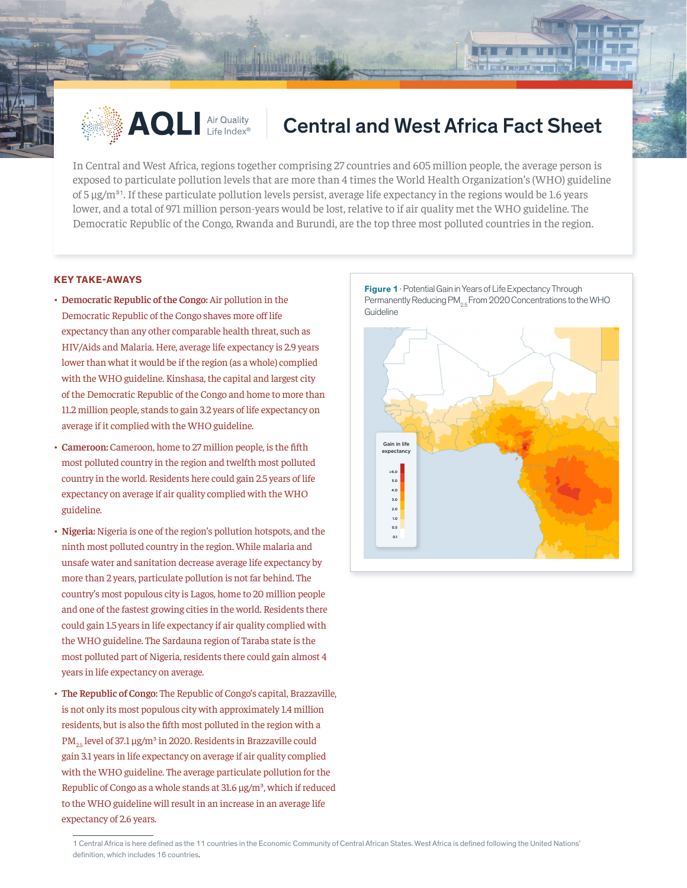

## $\triangle$  AQLI Air Quality  $\parallel$  Central and West Africa Fact Sheet

In Central and West Africa, regions together comprising 27 countries and 605 million people, the average person is exposed to particulate pollution levels that are more than 4 times the World Health Organization's (WHO) guideline of 5  $\mu$ g/m<sup>31</sup>. If these particulate pollution levels persist, average life expectancy in the regions would be 1.6 years lower, and a total of 971 million person-years would be lost, relative to if air quality met the WHO guideline. The Democratic Republic of the Congo, Rwanda and Burundi, are the top three most polluted countries in the region.

## **KEY TAKE-AWAYS**

- **• Democratic Republic of the Congo:** Air pollution in the Democratic Republic of the Congo shaves more off life expectancy than any other comparable health threat, such as HIV/Aids and Malaria. Here, average life expectancy is 2.9 years lower than what it would be if the region (as a whole) complied with the WHO guideline. Kinshasa, the capital and largest city of the Democratic Republic of the Congo and home to more than 11.2 million people, stands to gain 3.2 years of life expectancy on average if it complied with the WHO guideline.
- **• Cameroon:** Cameroon, home to 27 million people, is the fifth most polluted country in the region and twelfth most polluted country in the world. Residents here could gain 2.5 years of life expectancy on average if air quality complied with the WHO guideline.
- **• Nigeria:** Nigeria is one of the region's pollution hotspots, and the ninth most polluted country in the region. While malaria and unsafe water and sanitation decrease average life expectancy by more than 2 years, particulate pollution is not far behind. The country's most populous city is Lagos, home to 20 million people and one of the fastest growing cities in the world. Residents there could gain 1.5 years in life expectancy if air quality complied with the WHO guideline. The Sardauna region of Taraba state is the most polluted part of Nigeria, residents there could gain almost 4 years in life expectancy on average.
- **• The Republic of Congo:** The Republic of Congo's capital, Brazzaville, is not only its most populous city with approximately 1.4 million residents, but is also the fifth most polluted in the region with a  $PM_{25}$  level of 37.1 µg/m<sup>3</sup> in 2020. Residents in Brazzaville could gain 3.1 years in life expectancy on average if air quality complied with the WHO guideline. The average particulate pollution for the Republic of Congo as a whole stands at  $31.6 \mu g/m<sup>3</sup>$ , which if reduced to the WHO guideline will result in an increase in an average life expectancy of 2.6 years.

**Figure 1** · Potential Gain in Years of Life Expectancy Through Permanently Reducing PM<sub>25</sub> From 2020 Concentrations to the WHO **Guideline** 

in Leithert Hun



<sup>1</sup> Central Africa is here defined as the 11 countries in the Economic Community of Central African States. West Africa is defined following the United Nations' definition, which includes 16 countries.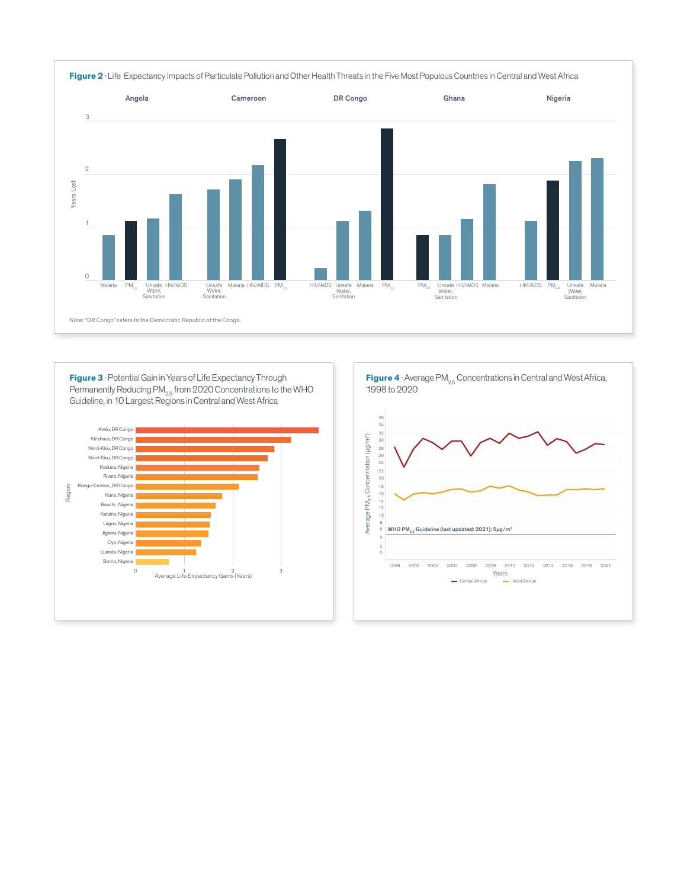

**Figure 3** · Potential Gain in Years of Life Expectancy Through Permanently Reducing PM $_{2.5}$  from 2020 Concentrations to the WHO Guideline, in 10 Largest Regions in Central and West Africa



**Figure 4** · Average PM<sub>2.5</sub> Concentrations in Central and West Africa, 1998 to 2020